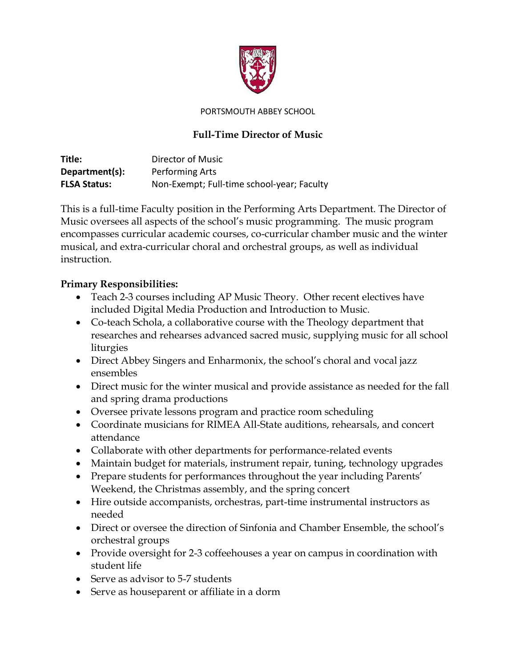

PORTSMOUTH ABBEY SCHOOL

## **Full-Time Director of Music**

**Title:** Director of Music **Department(s):** Performing Arts **FLSA Status:** Non-Exempt; Full-time school-year; Faculty

This is a full-time Faculty position in the Performing Arts Department. The Director of Music oversees all aspects of the school's music programming. The music program encompasses curricular academic courses, co-curricular chamber music and the winter musical, and extra-curricular choral and orchestral groups, as well as individual instruction.

## **Primary Responsibilities:**

- Teach 2-3 courses including AP Music Theory. Other recent electives have included Digital Media Production and Introduction to Music.
- Co-teach Schola, a collaborative course with the Theology department that researches and rehearses advanced sacred music, supplying music for all school liturgies
- Direct Abbey Singers and Enharmonix, the school's choral and vocal jazz ensembles
- Direct music for the winter musical and provide assistance as needed for the fall and spring drama productions
- Oversee private lessons program and practice room scheduling
- Coordinate musicians for RIMEA All-State auditions, rehearsals, and concert attendance
- Collaborate with other departments for performance-related events
- Maintain budget for materials, instrument repair, tuning, technology upgrades
- Prepare students for performances throughout the year including Parents' Weekend, the Christmas assembly, and the spring concert
- Hire outside accompanists, orchestras, part-time instrumental instructors as needed
- Direct or oversee the direction of Sinfonia and Chamber Ensemble, the school's orchestral groups
- Provide oversight for 2-3 coffeehouses a year on campus in coordination with student life
- Serve as advisor to 5-7 students
- Serve as houseparent or affiliate in a dorm